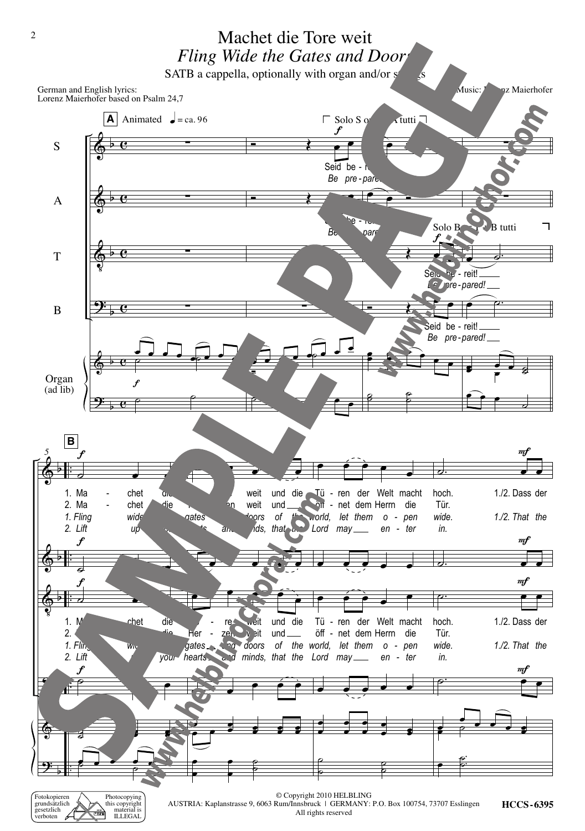

erial is ILLEGAL

gesetzlich verboten

All rights reserved

**HCCS-6395**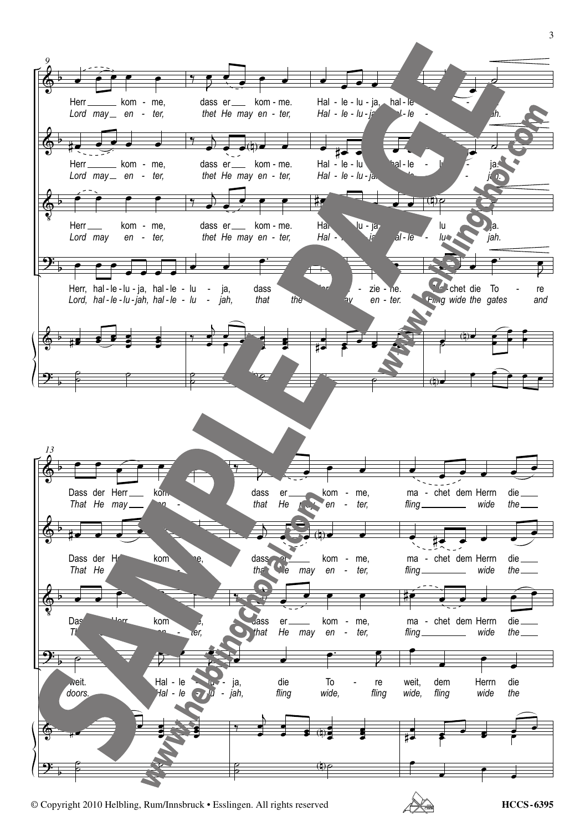

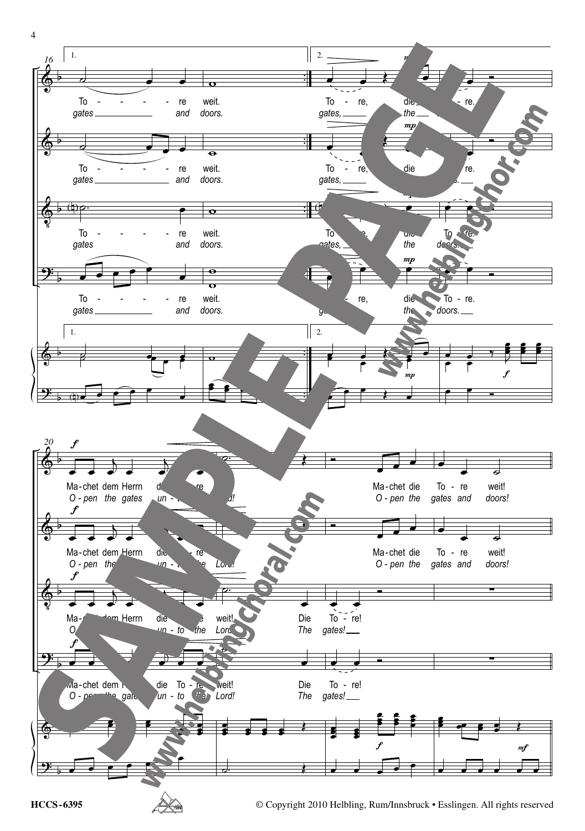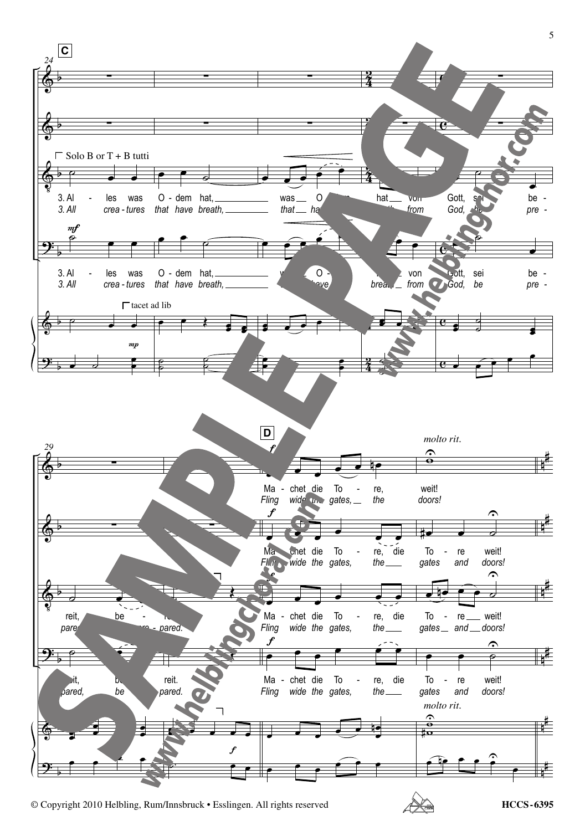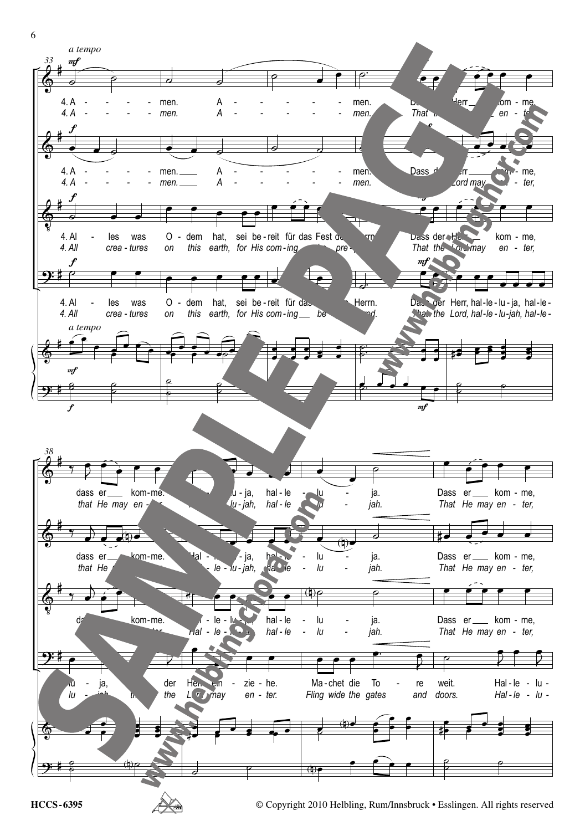